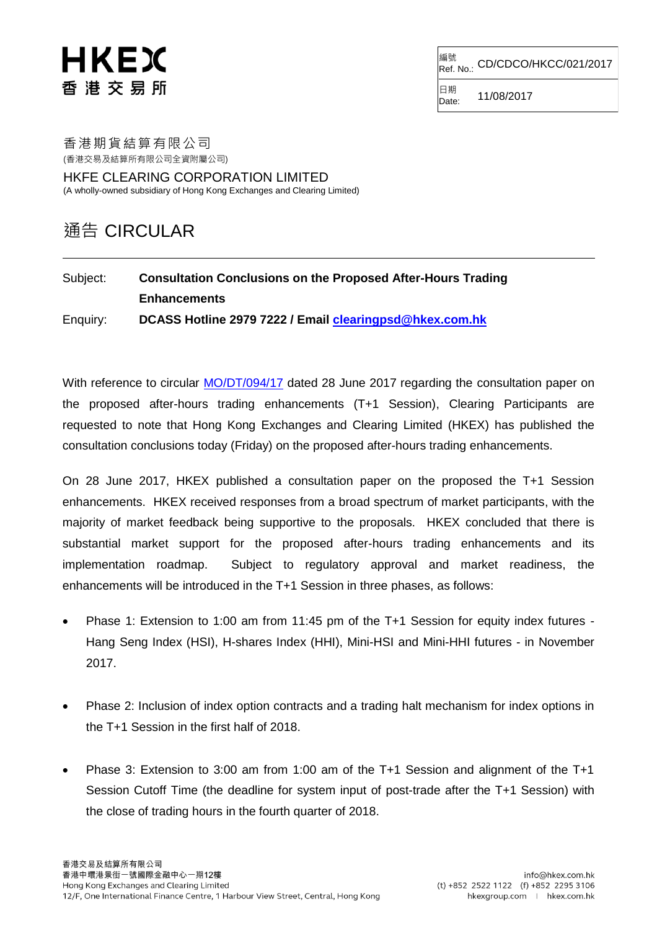## <sup>編號</sup><br>Ref. No.: CD/CDCO/HKCC/021/2017

日期  $D_{\text{ate:}}$  11/08/2017

## HKEX 香 港 交 易 所

香港期貨結算有限公司 (香港交易及結算所有限公司全資附屬公司)

HKFE CLEARING CORPORATION LIMITED (A wholly-owned subsidiary of Hong Kong Exchanges and Clearing Limited)

## 通告 CIRCULAR

## Subject: **Consultation Conclusions on the Proposed After-Hours Trading Enhancements** Enquiry: **DCASS Hotline 2979 7222 / Email [clearingpsd@hkex.com.hk](mailto:clearingpsd@hkex.com.hk)**

With reference to circular [MO/DT/094/17](http://www.hkex.com.hk/eng/market/partcir/hkfe/2017/Documents/MO_DT_094_17_e.pdf) dated 28 June 2017 regarding the consultation paper on the proposed after-hours trading enhancements (T+1 Session), Clearing Participants are requested to note that Hong Kong Exchanges and Clearing Limited (HKEX) has published the consultation conclusions today (Friday) on the proposed after-hours trading enhancements.

On 28 June 2017, HKEX published a consultation paper on the proposed the T+1 Session enhancements. HKEX received responses from a broad spectrum of market participants, with the majority of market feedback being supportive to the proposals. HKEX concluded that there is substantial market support for the proposed after-hours trading enhancements and its implementation roadmap. Subject to regulatory approval and market readiness, the enhancements will be introduced in the T+1 Session in three phases, as follows:

- Phase 1: Extension to 1:00 am from 11:45 pm of the T+1 Session for equity index futures Hang Seng Index (HSI), H-shares Index (HHI), Mini-HSI and Mini-HHI futures - in November 2017.
- Phase 2: Inclusion of index option contracts and a trading halt mechanism for index options in the T+1 Session in the first half of 2018.
- Phase 3: Extension to 3:00 am from 1:00 am of the T+1 Session and alignment of the T+1 Session Cutoff Time (the deadline for system input of post-trade after the T+1 Session) with the close of trading hours in the fourth quarter of 2018.